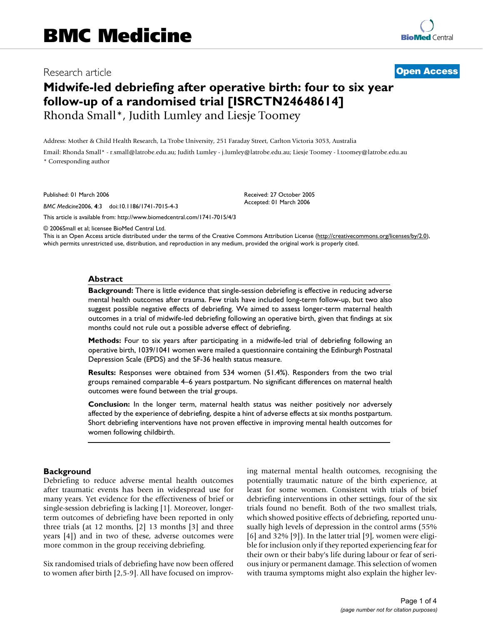Research article **[Open Access](http://www.biomedcentral.com/info/about/charter/)**

# **Midwife-led debriefing after operative birth: four to six year follow-up of a randomised trial [ISRCTN24648614]** Rhonda Small\*, Judith Lumley and Liesje Toomey

Address: Mother & Child Health Research, La Trobe University, 251 Faraday Street, Carlton Victoria 3053, Australia

Email: Rhonda Small\* - r.small@latrobe.edu.au; Judith Lumley - j.lumley@latrobe.edu.au; Liesje Toomey - l.toomey@latrobe.edu.au \* Corresponding author

Published: 01 March 2006

*BMC Medicine*2006, **4**:3 doi:10.1186/1741-7015-4-3

[This article is available from: http://www.biomedcentral.com/1741-7015/4/3](http://www.biomedcentral.com/1741-7015/4/3)

© 2006Small et al; licensee BioMed Central Ltd.

This is an Open Access article distributed under the terms of the Creative Commons Attribution License [\(http://creativecommons.org/licenses/by/2.0\)](http://creativecommons.org/licenses/by/2.0), which permits unrestricted use, distribution, and reproduction in any medium, provided the original work is properly cited.

Received: 27 October 2005 Accepted: 01 March 2006

#### **Abstract**

**Background:** There is little evidence that single-session debriefing is effective in reducing adverse mental health outcomes after trauma. Few trials have included long-term follow-up, but two also suggest possible negative effects of debriefing. We aimed to assess longer-term maternal health outcomes in a trial of midwife-led debriefing following an operative birth, given that findings at six months could not rule out a possible adverse effect of debriefing.

**Methods:** Four to six years after participating in a midwife-led trial of debriefing following an operative birth, 1039/1041 women were mailed a questionnaire containing the Edinburgh Postnatal Depression Scale (EPDS) and the SF-36 health status measure.

**Results:** Responses were obtained from 534 women (51.4%). Responders from the two trial groups remained comparable 4–6 years postpartum. No significant differences on maternal health outcomes were found between the trial groups.

**Conclusion:** In the longer term, maternal health status was neither positively nor adversely affected by the experience of debriefing, despite a hint of adverse effects at six months postpartum. Short debriefing interventions have not proven effective in improving mental health outcomes for women following childbirth.

#### **Background**

Debriefing to reduce adverse mental health outcomes after traumatic events has been in widespread use for many years. Yet evidence for the effectiveness of brief or single-session debriefing is lacking [1]. Moreover, longerterm outcomes of debriefing have been reported in only three trials (at 12 months, [2] 13 months [3] and three years [4]) and in two of these, adverse outcomes were more common in the group receiving debriefing.

Six randomised trials of debriefing have now been offered to women after birth [2,5-9]. All have focused on improving maternal mental health outcomes, recognising the potentially traumatic nature of the birth experience, at least for some women. Consistent with trials of brief debriefing interventions in other settings, four of the six trials found no benefit. Both of the two smallest trials, which showed positive effects of debriefing, reported unusually high levels of depression in the control arms (55%  $[6]$  and 32%  $[9]$ ). In the latter trial  $[9]$ , women were eligible for inclusion only if they reported experiencing fear for their own or their baby's life during labour or fear of serious injury or permanent damage. This selection of women with trauma symptoms might also explain the higher lev-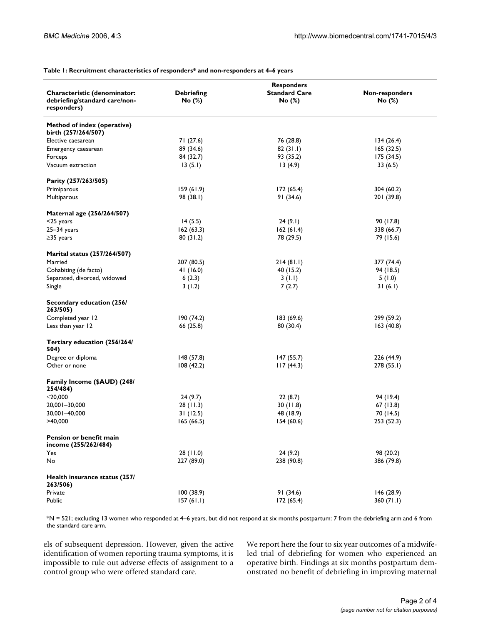#### **Table 1: Recruitment characteristics of responders\* and non-responders at 4–6 years**

| Characteristic (denominator:<br>debriefing/standard care/non-<br>responders) | <b>Debriefing</b><br>No (%)                        | <b>Responders</b><br><b>Standard Care</b><br>No (%) | Non-responders<br>No (%) |
|------------------------------------------------------------------------------|----------------------------------------------------|-----------------------------------------------------|--------------------------|
|                                                                              |                                                    |                                                     |                          |
|                                                                              | Method of index (operative)<br>birth (257/264/507) |                                                     |                          |
| Elective caesarean                                                           | 71 (27.6)                                          | 76 (28.8)                                           | 134(26.4)                |
| Emergency caesarean                                                          | 89 (34.6)                                          | 82(31.1)                                            | 165(32.5)                |
| Forceps                                                                      | 84 (32.7)                                          | 93 (35.2)                                           | 175(34.5)                |
| Vacuum extraction                                                            | 13(5.1)                                            | 13(4.9)                                             | 33(6.5)                  |
| Parity (257/263/505)                                                         |                                                    |                                                     |                          |
| Primiparous                                                                  | 159(61.9)                                          | 172(65.4)                                           | 304 (60.2)               |
| Multiparous                                                                  | 98 (38.1)                                          | 91(34.6)                                            | 201 (39.8)               |
| Maternal age (256/264/507)                                                   |                                                    |                                                     |                          |
| $<$ 25 years                                                                 | 14(5.5)                                            | 24(9.1)                                             | 90 (17.8)                |
| $25 - 34$ years                                                              | 162(63.3)                                          | 162(61.4)                                           | 338 (66.7)               |
| $\geq$ 35 years                                                              | 80(31.2)                                           | 78 (29.5)                                           | 79 (15.6)                |
| Marital status (257/264/507)                                                 |                                                    |                                                     |                          |
| Married                                                                      | 207 (80.5)                                         | 214(81.1)                                           | 377 (74.4)               |
| Cohabiting (de facto)                                                        | 41(16.0)                                           | 40 (15.2)                                           | 94 (18.5)                |
| Separated, divorced, widowed                                                 | 6(2.3)                                             | 3(1.1)                                              | 5(1.0)                   |
| Single                                                                       | 3(1.2)                                             | 7(2.7)                                              | 31(6.1)                  |
| Secondary education (256/<br>263/505)                                        |                                                    |                                                     |                          |
| Completed year 12                                                            | 190(74.2)                                          | 183(69.6)                                           | 299 (59.2)               |
| Less than year 12                                                            | 66 (25.8)                                          | 80 (30.4)                                           | 163(40.8)                |
| Tertiary education (256/264/<br>504)                                         |                                                    |                                                     |                          |
| Degree or diploma                                                            | 148(57.8)                                          | 147(55.7)                                           | 226 (44.9)               |
| Other or none                                                                | 108(42.2)                                          | 117(44.3)                                           | 278 (55.1)               |
| Family Income (\$AUD) (248/<br>254/484)                                      |                                                    |                                                     |                          |
| ≤20,000                                                                      | 24(9.7)                                            | 22(8.7)                                             | 94 (19.4)                |
| 20,001-30,000                                                                | 28(11.3)                                           | 30(11.8)                                            | 67 (13.8)                |
| 30,001-40,000                                                                | 31(12.5)                                           | 48 (18.9)                                           | 70 (14.5)                |
| >40,000                                                                      | 165(66.5)                                          | 154(60.6)                                           | 253 (52.3)               |
| Pension or benefit main<br>income (255/262/484)                              |                                                    |                                                     |                          |
| Yes                                                                          | 28(11.0)                                           | 24(9.2)                                             | 98 (20.2)                |
| No                                                                           | 227 (89.0)                                         | 238 (90.8)                                          | 386 (79.8)               |
| Health insurance status (257/<br>263/506)                                    |                                                    |                                                     |                          |
| Private                                                                      | 100(38.9)                                          | 91(34.6)                                            | 146(28.9)                |
| Public                                                                       | 157(61.1)                                          | 172(65.4)                                           | 360 (71.1)               |
|                                                                              |                                                    |                                                     |                          |

\*N = 521; excluding 13 women who responded at 4–6 years, but did not respond at six months postpartum: 7 from the debriefing arm and 6 from the standard care arm.

els of subsequent depression. However, given the active identification of women reporting trauma symptoms, it is impossible to rule out adverse effects of assignment to a control group who were offered standard care.

We report here the four to six year outcomes of a midwifeled trial of debriefing for women who experienced an operative birth. Findings at six months postpartum demonstrated no benefit of debriefing in improving maternal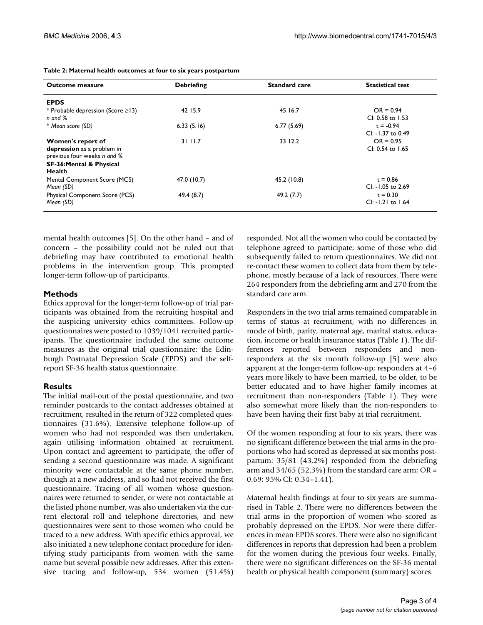| <b>Outcome measure</b>                 | <b>Debriefing</b> | <b>Standard care</b> | <b>Statistical test</b> |
|----------------------------------------|-------------------|----------------------|-------------------------|
| <b>EPDS</b>                            |                   |                      |                         |
| * Probable depression (Score $\ge$ 13) | 42 15.9           | 45 16.7              | $OR = 0.94$             |
| $n$ and $%$                            |                   |                      | CI: 0.58 to 1.53        |
| * Mean score (SD)                      | 6.33(5.16)        | 6.77(5.69)           | $t = -0.94$             |
|                                        |                   |                      | $Cl: -1.37$ to 0.49     |
| Women's report of                      | 31 11.7           | 33 12.2              | $OR = 0.95$             |
| depression as a problem in             |                   |                      | $Cl: 0.54$ to 1.65      |
| previous four weeks n and %            |                   |                      |                         |
| SF-36:Mental & Physical                |                   |                      |                         |
| <b>Health</b>                          |                   |                      |                         |
| Mental Component Score (MCS)           | 47.0 (10.7)       | 45.2 (10.8)          | $t = 0.86$              |
| Mean (SD)                              |                   |                      | $Cl: -1.05$ to 2.69     |
| Physical Component Score (PCS)         | 49.4 (8.7)        | 49.2 (7.7)           | $t = 0.30$              |
| Mean (SD)                              |                   |                      | $Cl: -1.21$ to $1.64$   |

**Table 2: Maternal health outcomes at four to six years postpartum**

mental health outcomes [5]. On the other hand – and of concern – the possibility could not be ruled out that debriefing may have contributed to emotional health problems in the intervention group. This prompted longer-term follow-up of participants.

#### **Methods**

Ethics approval for the longer-term follow-up of trial participants was obtained from the recruiting hospital and the auspicing university ethics committees. Follow-up questionnaires were posted to 1039/1041 recruited participants. The questionnaire included the same outcome measures as the original trial questionnaire: the Edinburgh Postnatal Depression Scale (EPDS) and the selfreport SF-36 health status questionnaire.

## **Results**

The initial mail-out of the postal questionnaire, and two reminder postcards to the contact addresses obtained at recruitment, resulted in the return of 322 completed questionnaires (31.6%). Extensive telephone follow-up of women who had not responded was then undertaken, again utilising information obtained at recruitment. Upon contact and agreement to participate, the offer of sending a second questionnaire was made. A significant minority were contactable at the same phone number, though at a new address, and so had not received the first questionnaire. Tracing of all women whose questionnaires were returned to sender, or were not contactable at the listed phone number, was also undertaken via the current electoral roll and telephone directories, and new questionnaires were sent to those women who could be traced to a new address. With specific ethics approval, we also initiated a new telephone contact procedure for identifying study participants from women with the same name but several possible new addresses. After this extensive tracing and follow-up, 534 women (51.4%)

responded. Not all the women who could be contacted by telephone agreed to participate; some of those who did subsequently failed to return questionnaires. We did not re-contact these women to collect data from them by telephone, mostly because of a lack of resources. There were 264 responders from the debriefing arm and 270 from the standard care arm.

Responders in the two trial arms remained comparable in terms of status at recruitment, with no differences in mode of birth, parity, maternal age, marital status, education, income or health insurance status (Table 1). The differences reported between responders and nonresponders at the six month follow-up [5] were also apparent at the longer-term follow-up; responders at 4–6 years more likely to have been married, to be older, to be better educated and to have higher family incomes at recruitment than non-responders (Table 1). They were also somewhat more likely than the non-responders to have been having their first baby at trial recruitment.

Of the women responding at four to six years, there was no significant difference between the trial arms in the proportions who had scored as depressed at six months postpartum: 35/81 (43.2%) responded from the debriefing arm and  $34/65$  (52.3%) from the standard care arm; OR = 0.69; 95% CI: 0.34–1.41).

Maternal health findings at four to six years are summarised in Table 2. There were no differences between the trial arms in the proportion of women who scored as probably depressed on the EPDS. Nor were there differences in mean EPDS scores. There were also no significant differences in reports that depression had been a problem for the women during the previous four weeks. Finally, there were no significant differences on the SF-36 mental health or physical health component (summary) scores.